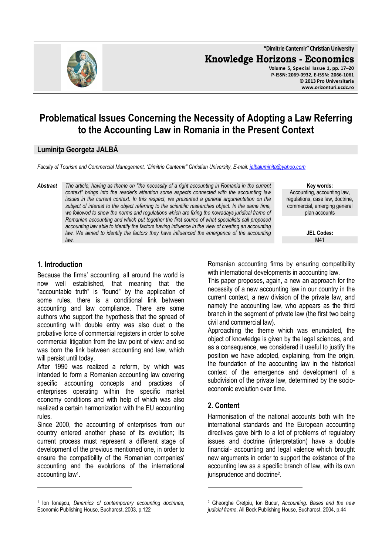

# **Problematical Issues Concerning the Necessity of Adopting a Law Referring to the Accounting Law in Romania in the Present Context**

#### **Luminiţa Georgeta JALBĂ**

*Faculty of Tourism and Commercial Management, "Dimitrie Cantemir" Christian University, E-mail: jalbaluminita@yahoo.com*

*Abstract The article, having as theme on "the necessity of a right accounting in Romania in the current context" brings into the reader's attention some aspects connected with the accounting law issues in the current context. In this respect, we presented a general argumentation on the subject of interest to the object referring to the scientific researches object. In the same time, we followed to show the norms and regulations which are fixing the nowadays juridical frame of Romanian accounting and which put together the first source of what specialists call proposed accounting law able to identify the factors having influence in the view of creating an accounting*  law. We aimed to identify the factors they have influenced the emergence of the accounting *law.* 

**Key words:** Accounting, accounting law, regulations, case law, doctrine, commercial, emerging general plan accounts

> **JEL Codes:** M41

#### **1. Introduction**

l

Because the firms' accounting, all around the world is now well established, that meaning that the "accountable truth" is "found" by the application of some rules, there is a conditional link between accounting and law compliance. There are some authors who support the hypothesis that the spread of accounting with double entry was also duet o the probative force of commercial registers in order to solve commercial litigation from the law point of view: and so was born the link between accounting and law, which will persist until today.

After 1990 was realized a reform, by which was intended to form a Romanian accounting law covering specific accounting concepts and practices of enterprises operating within the specific market economy conditions and with help of which was also realized a certain harmonization with the EU accounting rules.

Since 2000, the accounting of enterprises from our country entered another phase of its evolution; its current process must represent a different stage of development of the previous mentioned one, in order to ensure the compatibility of the Romanian companies' accounting and the evolutions of the international accounting law<sup>1</sup> .

Romanian accounting firms by ensuring compatibility with international developments in accounting law.

This paper proposes, again, a new an approach for the necessity of a new accounting law in our country in the current context, a new division of the private law, and namely the accounting law, who appears as the third branch in the segment of private law (the first two being civil and commercial law).

Approaching the theme which was enunciated, the object of knowledge is given by the legal sciences, and, as a consequence, we considered it useful to justify the position we have adopted, explaining, from the origin, the foundation of the accounting law in the historical context of the emergence and development of a subdivision of the private law, determined by the socioeconomic evolution over time.

### **2. Content**

l

Harmonisation of the national accounts both with the international standards and the European accounting directives gave birth to a lot of problems of regulatory issues and doctrine (interpretation) have a double financial- accounting and legal valence which brought new arguments in order to support the existence of the accounting law as a specific branch of law, with its own jurisprudence and doctrine<sup>2</sup>.

<sup>1</sup> Ion Ionaşcu, *Dinamics of contemporary accounting doctrines*, Economic Publishing House, Bucharest, 2003, p.122

<sup>2</sup> Gheorghe Creţoiu, Ion Bucur, *Accounting. Bases and the new judicial frame*, All Beck Publishing House, Bucharest, 2004, p.44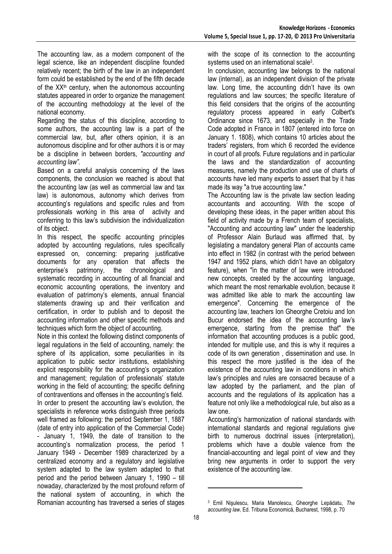The accounting law, as a modern component of the legal science, like an independent discipline founded relatively recent; the birth of the law in an independent form could be established by the end of the fifth decade of the  $XX<sup>th</sup>$  century, when the autonomous accounting statutes appeared in order to organize the management of the accounting methodology at the level of the national economy.

Regarding the status of this discipline, according to some authors, the accounting law is a part of the commercial law, but, after others opinion, it is an autonomous discipline and for other authors it is or may be a discipline in between borders, *"accounting and accounting law".* 

Based on a careful analysis concerning of the laws components, the conclusion we reached is about that the accounting law (as well as commercial law and tax law) is autonomous, autonomy which derives from accounting's regulations and specific rules and from professionals working in this area of activity and conferring to this law's subdivision the individualization of its object.

In this respect, the specific accounting principles adopted by accounting regulations, rules specifically expressed on, concerning: preparing justificative documents for any operation that affects the enterprise's patrimony, the chronological and systematic recording in accounting of all financial and economic accounting operations, the inventory and evaluation of patrimony's elements, annual financial statements drawing up and their verification and certification, in order to publish and to deposit the accounting information and other specific methods and techniques which form the object of accounting.

Note in this context the following distinct components of legal regulations in the field of accounting, namely: the sphere of its application, some peculiarities in its application to public sector institutions, establishing explicit responsibility for the accounting's organization and management; regulation of professionals' statute working in the field of accounting; the specific defining of contraventions and offenses in the accounting's field. In order to present the accounting law's evolution, the specialists in reference works distinguish three periods well framed as following: the period September 1, 1887 (date of entry into application of the Commercial Code) - January 1, 1949, the date of transition to the accounting's normalization process, the period 1 January 1949 - December 1989 characterized by a centralized economy and a regulatory and legislative system adapted to the law system adapted to that period and the period between January 1, 1990 – till nowaday, characterized by the most profound reform of the national system of accounting, in which the Romanian accounting has traversed a series of stages

with the scope of its connection to the accounting systems used on an international scale<sup>3</sup>.

In conclusion, accounting law belongs to the national law (internal), as an independent division of the private law. Long time, the accounting didn't have its own regulations and law sources; the specific literature of this field considers that the origins of the accounting regulatory process appeared in early Colbert's Ordinance since 1673, and especially in the Trade Code adopted in France in 1807 (entered into force on January 1. 1808), which contains 10 articles about the traders' registers, from which 6 recorded the evidence in court of all proofs. Future regulations and in particular the laws and the standardization of accounting measures, namely the production and use of charts of accounts have led many experts to assert that by it has made its way "a true accounting law."

The Accounting law is the private law section leading accountants and accounting. With the scope of developing these ideas, in the paper written about this field of activity made by a French team of specialists, "Accounting and accounting law" under the leadership of Professor Alain Burlaud was affirmed that, by legislating a mandatory general Plan of accounts came into effect in 1982 (in contrast with the period between 1947 and 1952 plans, which didn't have an obligatory feature), when "in the matter of law were introduced new concepts, created by the accounting language, which meant the most remarkable evolution, because it was admitted like able to mark the accounting law emergence". Concerning the emergence of the accounting law, teachers Ion Gheorghe Cretoiu and Ion Bucur endorsed the idea of the accounting law's emergence, starting from the premise that" the information that accounting produces is a public good, intended for multiple use, and this is why it requires a code of its own generation , dissemination and use. In this respect the more justified is the idea of the existence of the accounting law in conditions in which law's principles and rules are consacred because of a law adopted by the parliament, and the plan of accounts and the regulations of its application has a feature not only like a methodological rule, but also as a law one.

Accounting's harmonization of national standards with international standards and regional regulations give birth to numerous doctrinal issues (interpretation), problems which have a double valence from the financial-accounting and legal point of view and they bring new arguments in order to support the very existence of the accounting law.

l

<sup>3</sup> Emil Nişulescu, Maria Manolescu, Gheorghe Lepădatu, *The accounting law,* Ed. Tribuna Economică, Bucharest, 1998, p. 70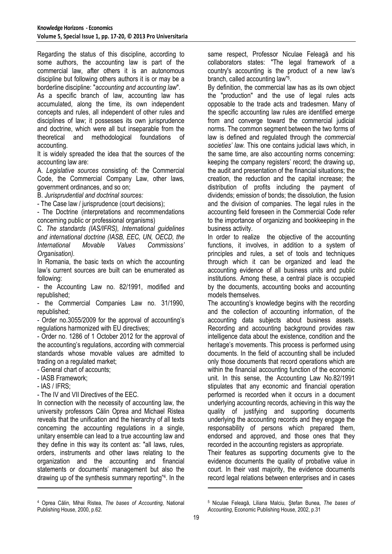Regarding the status of this discipline, according to some authors, the accounting law is part of the commercial law, after others it is an autonomous discipline but following others authors it is or may be a borderline discipline: "*accounting and accounting law*".

As a specific branch of law, accounting law has accumulated, along the time, its own independent concepts and rules, all independent of other rules and disciplines of law; it possesses its own jurisprudence and doctrine, which were all but inseparable from the theoretical and methodological foundations of accounting.

It is widely spreaded the idea that the sources of the accounting law are:

A. *Legislative sources* consisting of: the Commercial Code, the Commercial Company Law, other laws, government ordinances, and so on;

B. *Jurisprudential and doctrinal sources:*

- The Case law / jurisprudence (court decisions);

- The Doctrine (interpretations and recommendations concerning public or professional organisms)

C. *The standards (IAS/IFRS), International guidelines and international doctrine (IASB, EEC, UN, OECD, the International Movable Values Commissions' Organisation).* 

In Romania, the basic texts on which the accounting law's current sources are built can be enumerated as following:

- the Accounting Law no. 82/1991, modified and republished;

- the Commercial Companies Law no. 31/1990, republished;

- Order no.3055/2009 for the approval of accounting's regulations harmonized with EU directives;

- Order no. 1286 of 1 October 2012 for the approval of the accounting's regulations, according with commercial standards whose movable values are admitted to trading on a regulated market;

- General chart of accounts;

- IASB Framework;

- IAS / IFRS;

- The IV and VII Directives of the EEC.

In connection with the necessity of accounting law, the university professors Călin Oprea and Michael Ristea reveals that the unification and the hierarchy of all texts concerning the accounting regulations in a single, unitary ensemble can lead to a true accounting law and they define in this way its content as: "all laws, rules, orders, instruments and other laws relating to the organization and the accounting and financial statements or documents' management but also the drawing up of the synthesis summary reporting"<sup>4</sup> . In the l

same respect, Professor Niculae Feleagă and his collaborators states: "The legal framework of a country's accounting is the product of a new law's branch, called accounting law"<sup>5</sup> .

By definition, the commercial law has as its own object the "production" and the use of legal rules acts opposable to the trade acts and tradesmen. Many of the specific accounting law rules are identified emerge from and converge toward the commercial judicial norms. The common segment between the two forms of law is defined and regulated through the *commercial societies' law.* This one contains judicial laws which, in the same time, are also accounting norms concerning: keeping the company registers' record; the drawing up, the audit and presentation of the financial situations; the creation, the reduction and the capital increase; the distribution of profits including the payment of dividends; emission of bonds; the dissolution, the fusion and the division of companies. The legal rules in the accounting field foreseen in the Commercial Code refer to the importance of organizing and bookkeeping in the business activity.

In order to realize the objective of the accounting functions, it involves, in addition to a system of principles and rules, a set of tools and techniques through which it can be organized and lead the accounting evidence of all business units and public institutions. Among these, a central place is occupied by the documents, accounting books and accounting models themselves.

The accounting's knowledge begins with the recording and the collection of accounting information, of the accounting data subjects about business assets. Recording and accounting background provides raw intelligence data about the existence, condition and the heritage's movements. This process is performed using documents. In the field of accounting shall be included only those documents that record operations which are within the financial accounting function of the economic unit. In this sense, the Accounting Law No.82/1991 stipulates that any economic and financial operation performed is recorded when it occurs in a document underlying accounting records, achieving in this way the quality of justifying and supporting documents underlying the accounting records and they engage the responsability of persons which prepared them, endorsed and approved, and those ones that they recorded in the accounting registers as appropriate.

Their features as supporting documents give to the evidence documents the quality of probative value in court. In their vast majority, the evidence documents record legal relations between enterprises and in cases

l

<sup>4</sup> Oprea Călin, Mihai Ristea, *The bases of Accounting*, National Publishing House, 2000, p.62.

<sup>5</sup> Niculae Feleagă, Liliana Malciu, Ştefan Bunea, *The bases of Accounting*, Economic Publishing House, 2002, p.31